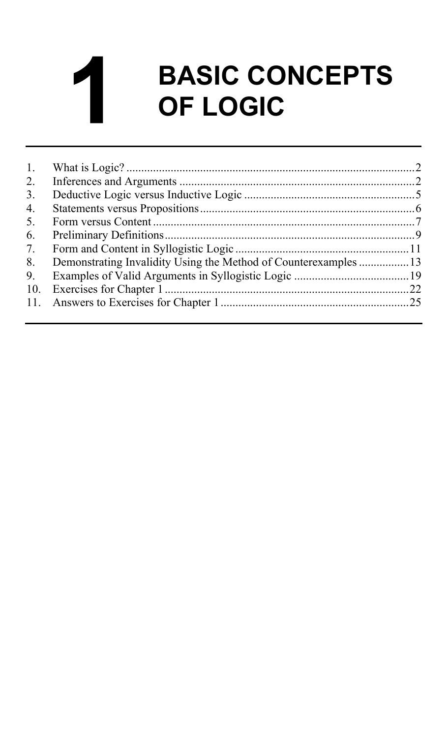# **BASIC CONCEPTS OF LOGIC**

| 1.  |                                                                  |    |
|-----|------------------------------------------------------------------|----|
| 2.  |                                                                  |    |
| 3.  |                                                                  |    |
| 4.  |                                                                  |    |
| 5.  |                                                                  |    |
| 6.  |                                                                  |    |
| 7.  |                                                                  |    |
| 8.  | Demonstrating Invalidity Using the Method of Counterexamples  13 |    |
| 9.  |                                                                  |    |
| 10. |                                                                  | 22 |
|     |                                                                  |    |
|     |                                                                  |    |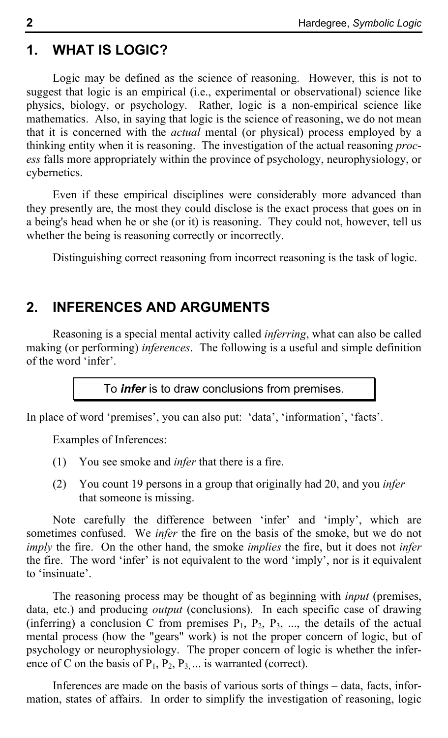# **1. WHAT IS LOGIC?**

 Logic may be defined as the science of reasoning. However, this is not to suggest that logic is an empirical (i.e., experimental or observational) science like physics, biology, or psychology. Rather, logic is a non-empirical science like mathematics. Also, in saying that logic is the science of reasoning, we do not mean that it is concerned with the *actual* mental (or physical) process employed by a thinking entity when it is reasoning. The investigation of the actual reasoning *process* falls more appropriately within the province of psychology, neurophysiology, or cybernetics.

 Even if these empirical disciplines were considerably more advanced than they presently are, the most they could disclose is the exact process that goes on in a being's head when he or she (or it) is reasoning. They could not, however, tell us whether the being is reasoning correctly or incorrectly.

Distinguishing correct reasoning from incorrect reasoning is the task of logic.

# **2. INFERENCES AND ARGUMENTS**

 Reasoning is a special mental activity called *inferring*, what can also be called making (or performing) *inferences*. The following is a useful and simple definition of the word 'infer'.

To *infer* is to draw conclusions from premises.

In place of word 'premises', you can also put: 'data', 'information', 'facts'.

Examples of Inferences:

- (1) You see smoke and *infer* that there is a fire.
- (2) You count 19 persons in a group that originally had 20, and you *infer* that someone is missing.

 Note carefully the difference between 'infer' and 'imply', which are sometimes confused. We *infer* the fire on the basis of the smoke, but we do not *imply* the fire. On the other hand, the smoke *implies* the fire, but it does not *infer* the fire. The word 'infer' is not equivalent to the word 'imply', nor is it equivalent to 'insinuate'.

 The reasoning process may be thought of as beginning with *input* (premises, data, etc.) and producing *output* (conclusions). In each specific case of drawing (inferring) a conclusion C from premises  $P_1$ ,  $P_2$ ,  $P_3$ , ..., the details of the actual mental process (how the "gears" work) is not the proper concern of logic, but of psychology or neurophysiology. The proper concern of logic is whether the inference of C on the basis of  $P_1$ ,  $P_2$ ,  $P_3$  ... is warranted (correct).

 Inferences are made on the basis of various sorts of things – data, facts, information, states of affairs. In order to simplify the investigation of reasoning, logic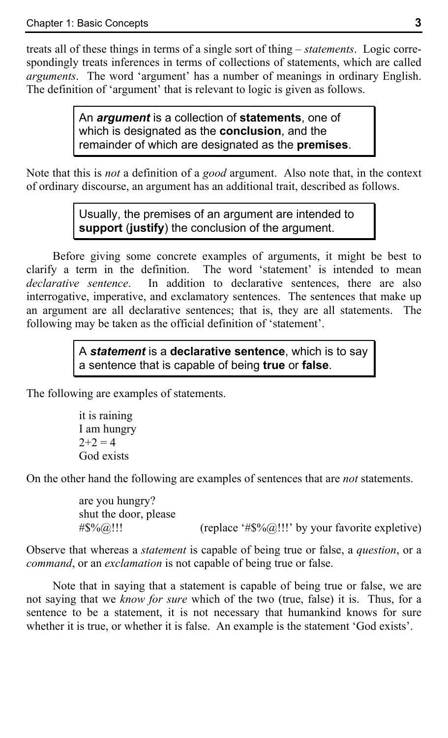treats all of these things in terms of a single sort of thing – *statements*. Logic correspondingly treats inferences in terms of collections of statements, which are called *arguments*. The word 'argument' has a number of meanings in ordinary English. The definition of 'argument' that is relevant to logic is given as follows.

> An *argument* is a collection of **statements**, one of which is designated as the **conclusion**, and the remainder of which are designated as the **premises**.

Note that this is *not* a definition of a *good* argument. Also note that, in the context of ordinary discourse, an argument has an additional trait, described as follows.

> Usually, the premises of an argument are intended to **support** (**justify**) the conclusion of the argument.

 Before giving some concrete examples of arguments, it might be best to clarify a term in the definition. The word 'statement' is intended to mean *declarative sentence*. In addition to declarative sentences, there are also interrogative, imperative, and exclamatory sentences. The sentences that make up an argument are all declarative sentences; that is, they are all statements. The following may be taken as the official definition of 'statement'.

> A *statement* is a **declarative sentence**, which is to say a sentence that is capable of being **true** or **false**.

The following are examples of statements.

it is raining I am hungry  $2+2=4$ God exists

On the other hand the following are examples of sentences that are *not* statements.

are you hungry? shut the door, please  $\#\S\%(\widehat{\omega})$ !!! (replace ' $\#\S\%(\widehat{\omega})$ !!!' by your favorite expletive)

Observe that whereas a *statement* is capable of being true or false, a *question*, or a *command*, or an *exclamation* is not capable of being true or false.

 Note that in saying that a statement is capable of being true or false, we are not saying that we *know for sure* which of the two (true, false) it is. Thus, for a sentence to be a statement, it is not necessary that humankind knows for sure whether it is true, or whether it is false. An example is the statement 'God exists'.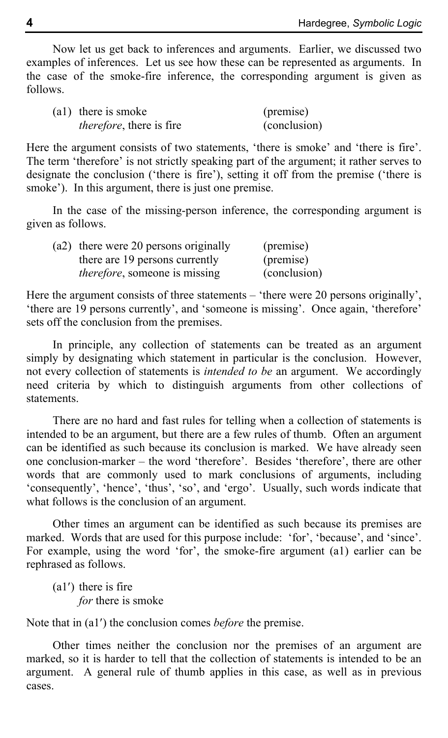Now let us get back to inferences and arguments. Earlier, we discussed two examples of inferences. Let us see how these can be represented as arguments. In the case of the smoke-fire inference, the corresponding argument is given as follows.

| (a1) there is smoke              | (premise)    |
|----------------------------------|--------------|
| <i>therefore</i> , there is fire | (conclusion) |

Here the argument consists of two statements, 'there is smoke' and 'there is fire'. The term 'therefore' is not strictly speaking part of the argument; it rather serves to designate the conclusion ('there is fire'), setting it off from the premise ('there is smoke'). In this argument, there is just one premise.

 In the case of the missing-person inference, the corresponding argument is given as follows.

| (a2) there were 20 persons originally | (premise)    |
|---------------------------------------|--------------|
| there are 19 persons currently        | (premise)    |
| <i>therefore</i> , someone is missing | (conclusion) |

Here the argument consists of three statements – 'there were 20 persons originally', 'there are 19 persons currently', and 'someone is missing'. Once again, 'therefore' sets off the conclusion from the premises.

 In principle, any collection of statements can be treated as an argument simply by designating which statement in particular is the conclusion. However, not every collection of statements is *intended to be* an argument. We accordingly need criteria by which to distinguish arguments from other collections of statements.

 There are no hard and fast rules for telling when a collection of statements is intended to be an argument, but there are a few rules of thumb. Often an argument can be identified as such because its conclusion is marked. We have already seen one conclusion-marker – the word 'therefore'. Besides 'therefore', there are other words that are commonly used to mark conclusions of arguments, including 'consequently', 'hence', 'thus', 'so', and 'ergo'. Usually, such words indicate that what follows is the conclusion of an argument.

 Other times an argument can be identified as such because its premises are marked. Words that are used for this purpose include: 'for', 'because', and 'since'. For example, using the word 'for', the smoke-fire argument (a1) earlier can be rephrased as follows.

(a1′) there is fire *for* there is smoke

Note that in (a1′) the conclusion comes *before* the premise.

 Other times neither the conclusion nor the premises of an argument are marked, so it is harder to tell that the collection of statements is intended to be an argument. A general rule of thumb applies in this case, as well as in previous cases.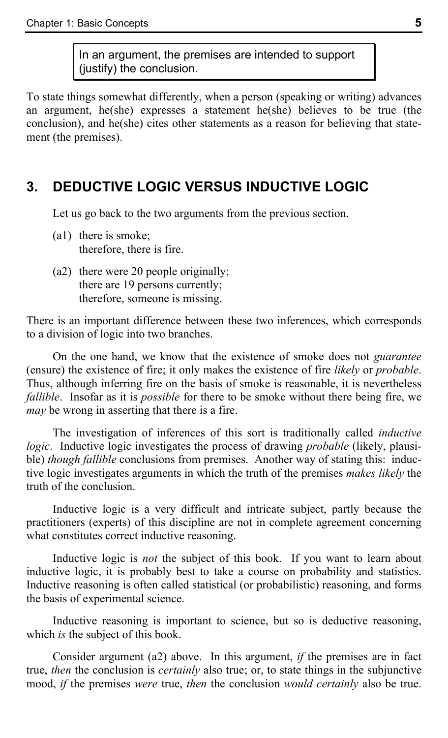In an argument, the premises are intended to support (justify) the conclusion.

To state things somewhat differently, when a person (speaking or writing) advances an argument, he(she) expresses a statement he(she) believes to be true (the conclusion), and he(she) cites other statements as a reason for believing that statement (the premises).

## **3. DEDUCTIVE LOGIC VERSUS INDUCTIVE LOGIC**

Let us go back to the two arguments from the previous section.

- (a1) there is smoke; therefore, there is fire.
- (a2) there were 20 people originally; there are 19 persons currently; therefore, someone is missing.

There is an important difference between these two inferences, which corresponds to a division of logic into two branches.

 On the one hand, we know that the existence of smoke does not *guarantee* (ensure) the existence of fire; it only makes the existence of fire *likely* or *probable*. Thus, although inferring fire on the basis of smoke is reasonable, it is nevertheless *fallible*. Insofar as it is *possible* for there to be smoke without there being fire, we *may* be wrong in asserting that there is a fire.

 The investigation of inferences of this sort is traditionally called *inductive logic*. Inductive logic investigates the process of drawing *probable* (likely, plausible) *though fallible* conclusions from premises. Another way of stating this: inductive logic investigates arguments in which the truth of the premises *makes likely* the truth of the conclusion.

 Inductive logic is a very difficult and intricate subject, partly because the practitioners (experts) of this discipline are not in complete agreement concerning what constitutes correct inductive reasoning.

 Inductive logic is *not* the subject of this book. If you want to learn about inductive logic, it is probably best to take a course on probability and statistics. Inductive reasoning is often called statistical (or probabilistic) reasoning, and forms the basis of experimental science.

 Inductive reasoning is important to science, but so is deductive reasoning, which *is* the subject of this book.

 Consider argument (a2) above. In this argument, *if* the premises are in fact true, *then* the conclusion is *certainly* also true; or, to state things in the subjunctive mood, *if* the premises *were* true, *then* the conclusion *would certainly* also be true.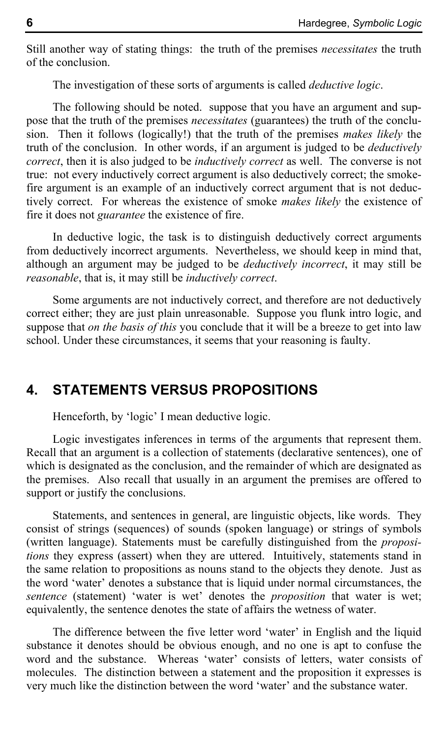Still another way of stating things: the truth of the premises *necessitates* the truth of the conclusion.

The investigation of these sorts of arguments is called *deductive logic*.

 The following should be noted. suppose that you have an argument and suppose that the truth of the premises *necessitates* (guarantees) the truth of the conclusion. Then it follows (logically!) that the truth of the premises *makes likely* the truth of the conclusion. In other words, if an argument is judged to be *deductively correct*, then it is also judged to be *inductively correct* as well. The converse is not true: not every inductively correct argument is also deductively correct; the smokefire argument is an example of an inductively correct argument that is not deductively correct. For whereas the existence of smoke *makes likely* the existence of fire it does not *guarantee* the existence of fire.

 In deductive logic, the task is to distinguish deductively correct arguments from deductively incorrect arguments. Nevertheless, we should keep in mind that, although an argument may be judged to be *deductively incorrect*, it may still be *reasonable*, that is, it may still be *inductively correct*.

 Some arguments are not inductively correct, and therefore are not deductively correct either; they are just plain unreasonable. Suppose you flunk intro logic, and suppose that *on the basis of this* you conclude that it will be a breeze to get into law school. Under these circumstances, it seems that your reasoning is faulty.

### **4. STATEMENTS VERSUS PROPOSITIONS**

Henceforth, by 'logic' I mean deductive logic.

 Logic investigates inferences in terms of the arguments that represent them. Recall that an argument is a collection of statements (declarative sentences), one of which is designated as the conclusion, and the remainder of which are designated as the premises. Also recall that usually in an argument the premises are offered to support or justify the conclusions.

 Statements, and sentences in general, are linguistic objects, like words. They consist of strings (sequences) of sounds (spoken language) or strings of symbols (written language). Statements must be carefully distinguished from the *propositions* they express (assert) when they are uttered. Intuitively, statements stand in the same relation to propositions as nouns stand to the objects they denote. Just as the word 'water' denotes a substance that is liquid under normal circumstances, the *sentence* (statement) 'water is wet' denotes the *proposition* that water is wet; equivalently, the sentence denotes the state of affairs the wetness of water.

 The difference between the five letter word 'water' in English and the liquid substance it denotes should be obvious enough, and no one is apt to confuse the word and the substance. Whereas 'water' consists of letters, water consists of molecules. The distinction between a statement and the proposition it expresses is very much like the distinction between the word 'water' and the substance water.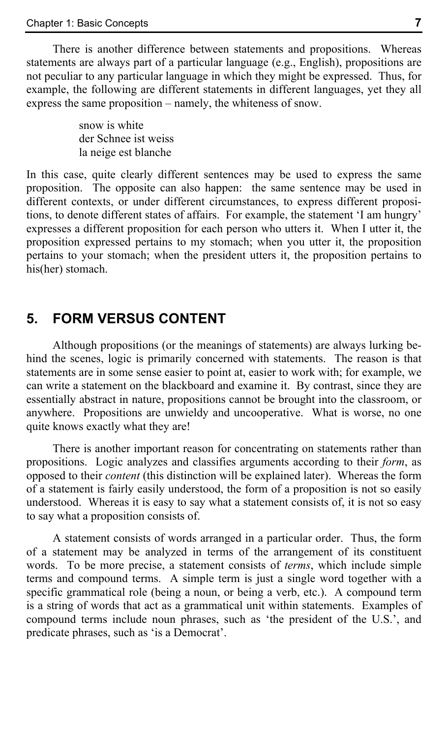There is another difference between statements and propositions. Whereas statements are always part of a particular language (e.g., English), propositions are not peculiar to any particular language in which they might be expressed. Thus, for example, the following are different statements in different languages, yet they all express the same proposition – namely, the whiteness of snow.

> snow is white der Schnee ist weiss la neige est blanche

In this case, quite clearly different sentences may be used to express the same proposition. The opposite can also happen: the same sentence may be used in different contexts, or under different circumstances, to express different propositions, to denote different states of affairs. For example, the statement 'I am hungry' expresses a different proposition for each person who utters it. When I utter it, the proposition expressed pertains to my stomach; when you utter it, the proposition pertains to your stomach; when the president utters it, the proposition pertains to his(her) stomach.

### **5. FORM VERSUS CONTENT**

 Although propositions (or the meanings of statements) are always lurking behind the scenes, logic is primarily concerned with statements. The reason is that statements are in some sense easier to point at, easier to work with; for example, we can write a statement on the blackboard and examine it. By contrast, since they are essentially abstract in nature, propositions cannot be brought into the classroom, or anywhere. Propositions are unwieldy and uncooperative. What is worse, no one quite knows exactly what they are!

 There is another important reason for concentrating on statements rather than propositions. Logic analyzes and classifies arguments according to their *form*, as opposed to their *content* (this distinction will be explained later). Whereas the form of a statement is fairly easily understood, the form of a proposition is not so easily understood. Whereas it is easy to say what a statement consists of, it is not so easy to say what a proposition consists of.

 A statement consists of words arranged in a particular order. Thus, the form of a statement may be analyzed in terms of the arrangement of its constituent words. To be more precise, a statement consists of *terms*, which include simple terms and compound terms. A simple term is just a single word together with a specific grammatical role (being a noun, or being a verb, etc.). A compound term is a string of words that act as a grammatical unit within statements. Examples of compound terms include noun phrases, such as 'the president of the U.S.', and predicate phrases, such as 'is a Democrat'.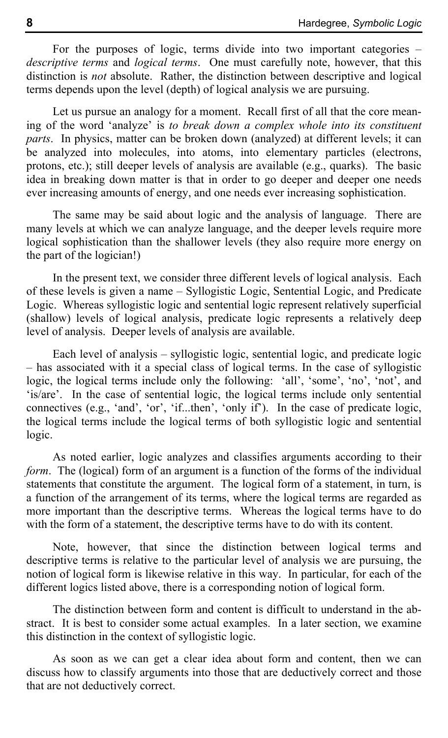For the purposes of logic, terms divide into two important categories – *descriptive terms* and *logical terms*. One must carefully note, however, that this distinction is *not* absolute. Rather, the distinction between descriptive and logical terms depends upon the level (depth) of logical analysis we are pursuing.

 Let us pursue an analogy for a moment. Recall first of all that the core meaning of the word 'analyze' is *to break down a complex whole into its constituent parts*. In physics, matter can be broken down (analyzed) at different levels; it can be analyzed into molecules, into atoms, into elementary particles (electrons, protons, etc.); still deeper levels of analysis are available (e.g., quarks). The basic idea in breaking down matter is that in order to go deeper and deeper one needs ever increasing amounts of energy, and one needs ever increasing sophistication.

 The same may be said about logic and the analysis of language. There are many levels at which we can analyze language, and the deeper levels require more logical sophistication than the shallower levels (they also require more energy on the part of the logician!)

 In the present text, we consider three different levels of logical analysis. Each of these levels is given a name – Syllogistic Logic, Sentential Logic, and Predicate Logic. Whereas syllogistic logic and sentential logic represent relatively superficial (shallow) levels of logical analysis, predicate logic represents a relatively deep level of analysis. Deeper levels of analysis are available.

 Each level of analysis – syllogistic logic, sentential logic, and predicate logic – has associated with it a special class of logical terms. In the case of syllogistic logic, the logical terms include only the following: 'all', 'some', 'no', 'not', and 'is/are'. In the case of sentential logic, the logical terms include only sentential connectives (e.g., 'and', 'or', 'if...then', 'only if'). In the case of predicate logic, the logical terms include the logical terms of both syllogistic logic and sentential logic.

 As noted earlier, logic analyzes and classifies arguments according to their *form*. The (logical) form of an argument is a function of the forms of the individual statements that constitute the argument. The logical form of a statement, in turn, is a function of the arrangement of its terms, where the logical terms are regarded as more important than the descriptive terms. Whereas the logical terms have to do with the form of a statement, the descriptive terms have to do with its content.

 Note, however, that since the distinction between logical terms and descriptive terms is relative to the particular level of analysis we are pursuing, the notion of logical form is likewise relative in this way. In particular, for each of the different logics listed above, there is a corresponding notion of logical form.

 The distinction between form and content is difficult to understand in the abstract. It is best to consider some actual examples. In a later section, we examine this distinction in the context of syllogistic logic.

 As soon as we can get a clear idea about form and content, then we can discuss how to classify arguments into those that are deductively correct and those that are not deductively correct.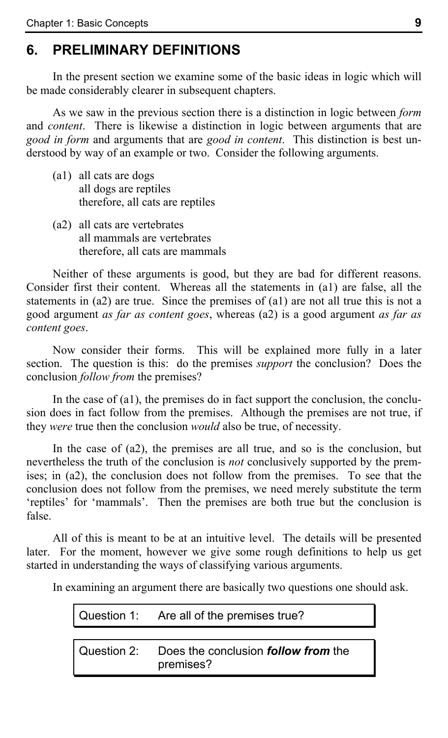# **6. PRELIMINARY DEFINITIONS**

 In the present section we examine some of the basic ideas in logic which will be made considerably clearer in subsequent chapters.

 As we saw in the previous section there is a distinction in logic between *form* and *content*. There is likewise a distinction in logic between arguments that are *good in form* and arguments that are *good in content*. This distinction is best understood by way of an example or two. Consider the following arguments.

- (a1) all cats are dogs all dogs are reptiles therefore, all cats are reptiles
- (a2) all cats are vertebrates all mammals are vertebrates therefore, all cats are mammals

 Neither of these arguments is good, but they are bad for different reasons. Consider first their content. Whereas all the statements in (a1) are false, all the statements in (a2) are true. Since the premises of (a1) are not all true this is not a good argument *as far as content goes*, whereas (a2) is a good argument *as far as content goes*.

 Now consider their forms. This will be explained more fully in a later section. The question is this: do the premises *support* the conclusion? Does the conclusion *follow from* the premises?

 In the case of (a1), the premises do in fact support the conclusion, the conclusion does in fact follow from the premises. Although the premises are not true, if they *were* true then the conclusion *would* also be true, of necessity.

 In the case of (a2), the premises are all true, and so is the conclusion, but nevertheless the truth of the conclusion is *not* conclusively supported by the premises; in (a2), the conclusion does not follow from the premises. To see that the conclusion does not follow from the premises, we need merely substitute the term 'reptiles' for 'mammals'. Then the premises are both true but the conclusion is false.

 All of this is meant to be at an intuitive level. The details will be presented later. For the moment, however we give some rough definitions to help us get started in understanding the ways of classifying various arguments.

In examining an argument there are basically two questions one should ask.

Question 1: Are all of the premises true?

Question 2: Does the conclusion *follow from* the premises?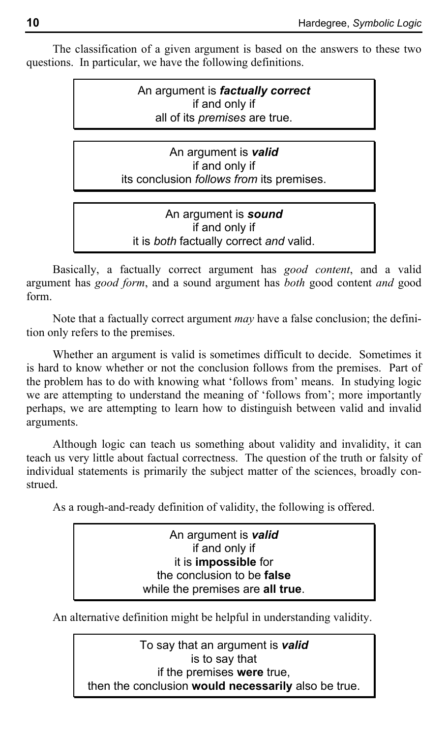The classification of a given argument is based on the answers to these two questions. In particular, we have the following definitions.

> An argument is *factually correct* if and only if all of its *premises* are true.

An argument is *valid* if and only if its conclusion *follows from* its premises.

An argument is *sound* if and only if it is *both* factually correct *and* valid.

 Basically, a factually correct argument has *good content*, and a valid argument has *good form*, and a sound argument has *both* good content *and* good form.

 Note that a factually correct argument *may* have a false conclusion; the definition only refers to the premises.

 Whether an argument is valid is sometimes difficult to decide. Sometimes it is hard to know whether or not the conclusion follows from the premises. Part of the problem has to do with knowing what 'follows from' means. In studying logic we are attempting to understand the meaning of 'follows from'; more importantly perhaps, we are attempting to learn how to distinguish between valid and invalid arguments.

 Although logic can teach us something about validity and invalidity, it can teach us very little about factual correctness. The question of the truth or falsity of individual statements is primarily the subject matter of the sciences, broadly construed.

As a rough-and-ready definition of validity, the following is offered.

An argument is *valid* if and only if it is **impossible** for the conclusion to be **false** while the premises are **all true**.

An alternative definition might be helpful in understanding validity.

To say that an argument is *valid* is to say that if the premises **were** true, then the conclusion **would necessarily** also be true.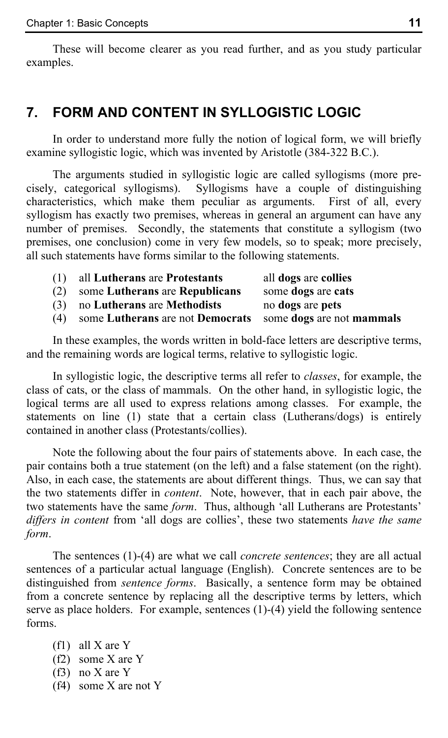These will become clearer as you read further, and as you study particular examples.

### **7. FORM AND CONTENT IN SYLLOGISTIC LOGIC**

 In order to understand more fully the notion of logical form, we will briefly examine syllogistic logic, which was invented by Aristotle (384-322 B.C.).

 The arguments studied in syllogistic logic are called syllogisms (more precisely, categorical syllogisms). Syllogisms have a couple of distinguishing characteristics, which make them peculiar as arguments. First of all, every syllogism has exactly two premises, whereas in general an argument can have any number of premises. Secondly, the statements that constitute a syllogism (two premises, one conclusion) come in very few models, so to speak; more precisely, all such statements have forms similar to the following statements.

(1) all **Lutherans** are **Protestants** all **dogs** are **collies** (2) some **Lutherans** are **Republicans** some **dogs** are **cats** (3) no **Lutherans** are **Methodists** no **dogs** are **pets** (4) some **Lutherans** are not **Democrats** some **dogs** are not **mammals**

 In these examples, the words written in bold-face letters are descriptive terms, and the remaining words are logical terms, relative to syllogistic logic.

 In syllogistic logic, the descriptive terms all refer to *classes*, for example, the class of cats, or the class of mammals. On the other hand, in syllogistic logic, the logical terms are all used to express relations among classes. For example, the statements on line (1) state that a certain class (Lutherans/dogs) is entirely contained in another class (Protestants/collies).

 Note the following about the four pairs of statements above. In each case, the pair contains both a true statement (on the left) and a false statement (on the right). Also, in each case, the statements are about different things. Thus, we can say that the two statements differ in *content*. Note, however, that in each pair above, the two statements have the same *form*. Thus, although 'all Lutherans are Protestants' *differs in content* from 'all dogs are collies', these two statements *have the same form*.

 The sentences (1)-(4) are what we call *concrete sentences*; they are all actual sentences of a particular actual language (English). Concrete sentences are to be distinguished from *sentence forms*. Basically, a sentence form may be obtained from a concrete sentence by replacing all the descriptive terms by letters, which serve as place holders. For example, sentences (1)-(4) yield the following sentence forms.

- $(f1)$  all X are Y
- (f2) some X are Y
- (f3) no X are Y
- (f4) some X are not Y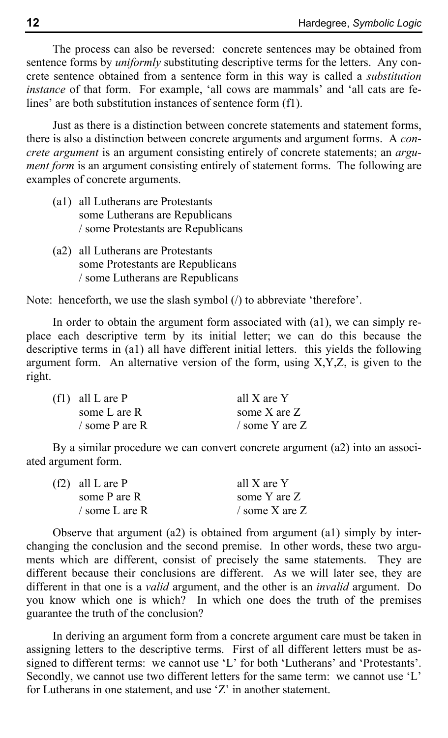The process can also be reversed: concrete sentences may be obtained from sentence forms by *uniformly* substituting descriptive terms for the letters. Any concrete sentence obtained from a sentence form in this way is called a *substitution instance* of that form. For example, 'all cows are mammals' and 'all cats are felines' are both substitution instances of sentence form (f1).

 Just as there is a distinction between concrete statements and statement forms, there is also a distinction between concrete arguments and argument forms. A *concrete argument* is an argument consisting entirely of concrete statements; an *argument form* is an argument consisting entirely of statement forms. The following are examples of concrete arguments.

- (a1) all Lutherans are Protestants some Lutherans are Republicans / some Protestants are Republicans
- (a2) all Lutherans are Protestants some Protestants are Republicans / some Lutherans are Republicans

Note: henceforth, we use the slash symbol (*/*) to abbreviate 'therefore'.

 In order to obtain the argument form associated with (a1), we can simply replace each descriptive term by its initial letter; we can do this because the descriptive terms in (a1) all have different initial letters. this yields the following argument form. An alternative version of the form, using  $X, Y, Z$ , is given to the right.

| $(f1)$ all L are P | all X are Y      |
|--------------------|------------------|
| some L are R       | some $X$ are $Z$ |
| / some P are R     | / some Y are Z   |

 By a similar procedure we can convert concrete argument (a2) into an associated argument form.

| $(f2)$ all L are P | all X are Y    |
|--------------------|----------------|
| some $P$ are $R$   | some Y are $Z$ |
| / some L are R     | / some X are Z |

 Observe that argument (a2) is obtained from argument (a1) simply by interchanging the conclusion and the second premise. In other words, these two arguments which are different, consist of precisely the same statements. They are different because their conclusions are different. As we will later see, they are different in that one is a *valid* argument, and the other is an *invalid* argument. Do you know which one is which? In which one does the truth of the premises guarantee the truth of the conclusion?

 In deriving an argument form from a concrete argument care must be taken in assigning letters to the descriptive terms. First of all different letters must be assigned to different terms: we cannot use 'L' for both 'Lutherans' and 'Protestants'. Secondly, we cannot use two different letters for the same term: we cannot use 'L' for Lutherans in one statement, and use 'Z' in another statement.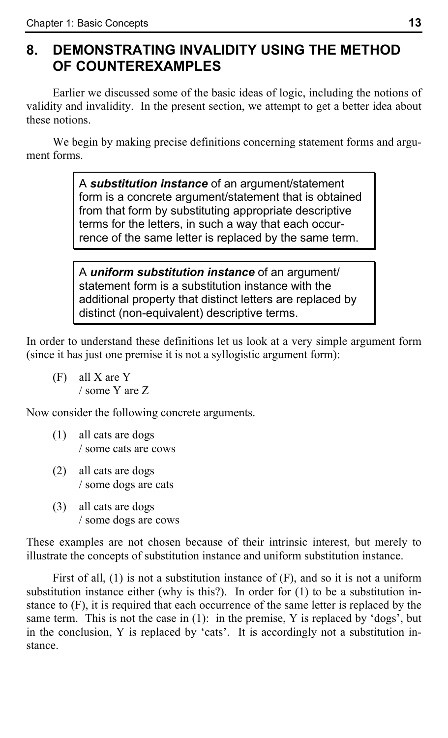# **8. DEMONSTRATING INVALIDITY USING THE METHOD OF COUNTEREXAMPLES**

 Earlier we discussed some of the basic ideas of logic, including the notions of validity and invalidity. In the present section, we attempt to get a better idea about these notions.

 We begin by making precise definitions concerning statement forms and argument forms.

> A *substitution instance* of an argument/statement form is a concrete argument/statement that is obtained from that form by substituting appropriate descriptive terms for the letters, in such a way that each occurrence of the same letter is replaced by the same term.

A *uniform substitution instance* of an argument/ statement form is a substitution instance with the additional property that distinct letters are replaced by distinct (non-equivalent) descriptive terms.

In order to understand these definitions let us look at a very simple argument form (since it has just one premise it is not a syllogistic argument form):

(F) all X are Y / some Y are Z

Now consider the following concrete arguments.

- (1) all cats are dogs / some cats are cows
- (2) all cats are dogs / some dogs are cats
- (3) all cats are dogs / some dogs are cows

These examples are not chosen because of their intrinsic interest, but merely to illustrate the concepts of substitution instance and uniform substitution instance.

First of all,  $(1)$  is not a substitution instance of  $(F)$ , and so it is not a uniform substitution instance either (why is this?). In order for (1) to be a substitution instance to (F), it is required that each occurrence of the same letter is replaced by the same term. This is not the case in (1): in the premise, Y is replaced by 'dogs', but in the conclusion, Y is replaced by 'cats'. It is accordingly not a substitution instance.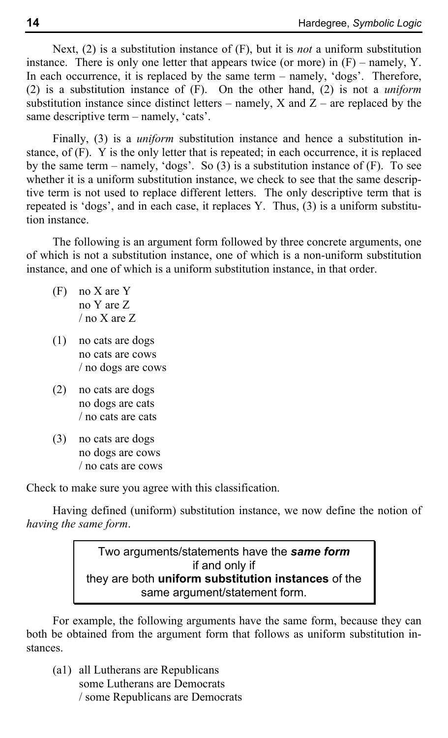Next, (2) is a substitution instance of (F), but it is *not* a uniform substitution instance. There is only one letter that appears twice (or more) in  $(F)$  – namely, Y. In each occurrence, it is replaced by the same term – namely, 'dogs'. Therefore, (2) is a substitution instance of (F). On the other hand, (2) is not a *uniform* substitution instance since distinct letters – namely,  $X$  and  $Z$  – are replaced by the same descriptive term – namely, 'cats'.

Finally, (3) is a *uniform* substitution instance and hence a substitution instance, of (F). Y is the only letter that is repeated; in each occurrence, it is replaced by the same term – namely, 'dogs'. So  $(3)$  is a substitution instance of  $(F)$ . To see whether it is a uniform substitution instance, we check to see that the same descriptive term is not used to replace different letters. The only descriptive term that is repeated is 'dogs', and in each case, it replaces Y. Thus, (3) is a uniform substitution instance.

 The following is an argument form followed by three concrete arguments, one of which is not a substitution instance, one of which is a non-uniform substitution instance, and one of which is a uniform substitution instance, in that order.

- (F) no X are Y no Y are Z / no X are Z
- (1) no cats are dogs no cats are cows / no dogs are cows
- (2) no cats are dogs no dogs are cats / no cats are cats
- (3) no cats are dogs no dogs are cows / no cats are cows

Check to make sure you agree with this classification.

 Having defined (uniform) substitution instance, we now define the notion of *having the same form*.

> Two arguments/statements have the *same form* if and only if they are both **uniform substitution instances** of the same argument/statement form.

 For example, the following arguments have the same form, because they can both be obtained from the argument form that follows as uniform substitution instances.

(a1) all Lutherans are Republicans some Lutherans are Democrats / some Republicans are Democrats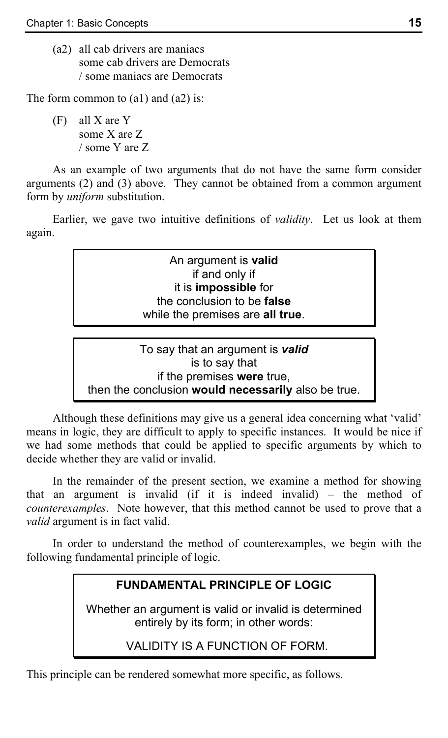(a2) all cab drivers are maniacs some cab drivers are Democrats / some maniacs are Democrats

The form common to  $(a1)$  and  $(a2)$  is:

(F) all X are Y some X are Z / some Y are Z

 As an example of two arguments that do not have the same form consider arguments (2) and (3) above. They cannot be obtained from a common argument form by *uniform* substitution.

 Earlier, we gave two intuitive definitions of *validity*. Let us look at them again.

> An argument is **valid** if and only if it is **impossible** for the conclusion to be **false** while the premises are **all true**.

#### To say that an argument is *valid* is to say that if the premises **were** true, then the conclusion **would necessarily** also be true.

 Although these definitions may give us a general idea concerning what 'valid' means in logic, they are difficult to apply to specific instances. It would be nice if we had some methods that could be applied to specific arguments by which to decide whether they are valid or invalid.

 In the remainder of the present section, we examine a method for showing that an argument is invalid (if it is indeed invalid) – the method of *counterexamples*. Note however, that this method cannot be used to prove that a *valid* argument is in fact valid.

 In order to understand the method of counterexamples, we begin with the following fundamental principle of logic.

#### **FUNDAMENTAL PRINCIPLE OF LOGIC**

Whether an argument is valid or invalid is determined entirely by its form; in other words:

#### VALIDITY IS A FUNCTION OF FORM.

This principle can be rendered somewhat more specific, as follows.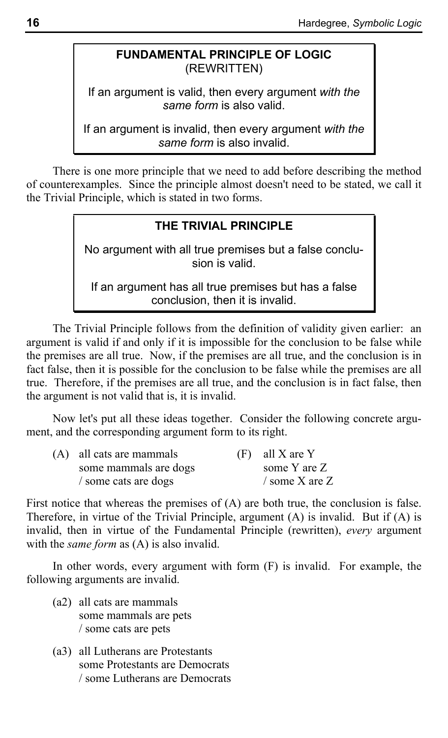#### **FUNDAMENTAL PRINCIPLE OF LOGIC**  (REWRITTEN)

If an argument is valid, then every argument *with the same form* is also valid.

If an argument is invalid, then every argument *with the same form* is also invalid.

 There is one more principle that we need to add before describing the method of counterexamples. Since the principle almost doesn't need to be stated, we call it the Trivial Principle, which is stated in two forms.

#### **THE TRIVIAL PRINCIPLE**

No argument with all true premises but a false conclusion is valid.

If an argument has all true premises but has a false conclusion, then it is invalid.

 The Trivial Principle follows from the definition of validity given earlier: an argument is valid if and only if it is impossible for the conclusion to be false while the premises are all true. Now, if the premises are all true, and the conclusion is in fact false, then it is possible for the conclusion to be false while the premises are all true. Therefore, if the premises are all true, and the conclusion is in fact false, then the argument is not valid that is, it is invalid.

 Now let's put all these ideas together. Consider the following concrete argument, and the corresponding argument form to its right.

| (A) all cats are mammals | $(F)$ all X are Y |
|--------------------------|-------------------|
| some mammals are dogs    | some Y are $Z$    |
| / some cats are dogs     | / some X are $Z$  |

First notice that whereas the premises of (A) are both true, the conclusion is false. Therefore, in virtue of the Trivial Principle, argument (A) is invalid. But if (A) is invalid, then in virtue of the Fundamental Principle (rewritten), *every* argument with the *same form* as (A) is also invalid.

 In other words, every argument with form (F) is invalid. For example, the following arguments are invalid.

- (a2) all cats are mammals some mammals are pets / some cats are pets
- (a3) all Lutherans are Protestants some Protestants are Democrats / some Lutherans are Democrats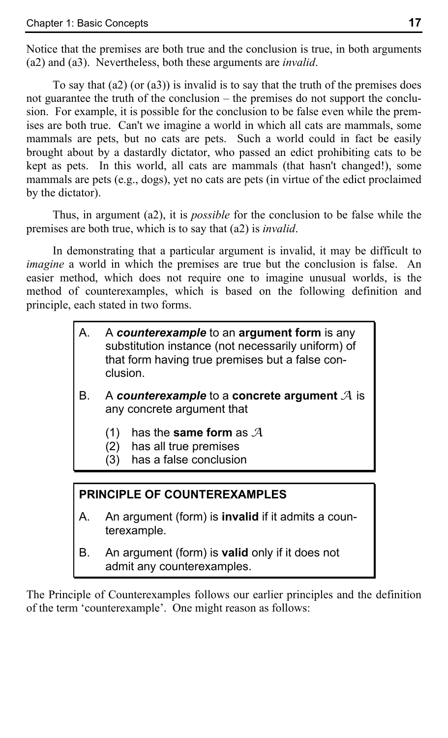Notice that the premises are both true and the conclusion is true, in both arguments (a2) and (a3). Nevertheless, both these arguments are *invalid*.

To say that  $(a2)$  (or  $(a3)$ ) is invalid is to say that the truth of the premises does not guarantee the truth of the conclusion – the premises do not support the conclusion. For example, it is possible for the conclusion to be false even while the premises are both true. Can't we imagine a world in which all cats are mammals, some mammals are pets, but no cats are pets. Such a world could in fact be easily brought about by a dastardly dictator, who passed an edict prohibiting cats to be kept as pets. In this world, all cats are mammals (that hasn't changed!), some mammals are pets (e.g., dogs), yet no cats are pets (in virtue of the edict proclaimed by the dictator).

 Thus, in argument (a2), it is *possible* for the conclusion to be false while the premises are both true, which is to say that (a2) is *invalid*.

 In demonstrating that a particular argument is invalid, it may be difficult to *imagine* a world in which the premises are true but the conclusion is false. An easier method, which does not require one to imagine unusual worlds, is the method of counterexamples, which is based on the following definition and principle, each stated in two forms.

- A. A *counterexample* to an **argument form** is any substitution instance (not necessarily uniform) of that form having true premises but a false conclusion.
- B. A *counterexample* to a **concrete argument** A is any concrete argument that
	- (1) has the **same form** as  $\mathcal{A}$
	- (2) has all true premises
	- (3) has a false conclusion

#### **PRINCIPLE OF COUNTEREXAMPLES**

- A. An argument (form) is **invalid** if it admits a counterexample.
- B. An argument (form) is **valid** only if it does not admit any counterexamples.

The Principle of Counterexamples follows our earlier principles and the definition of the term 'counterexample'. One might reason as follows: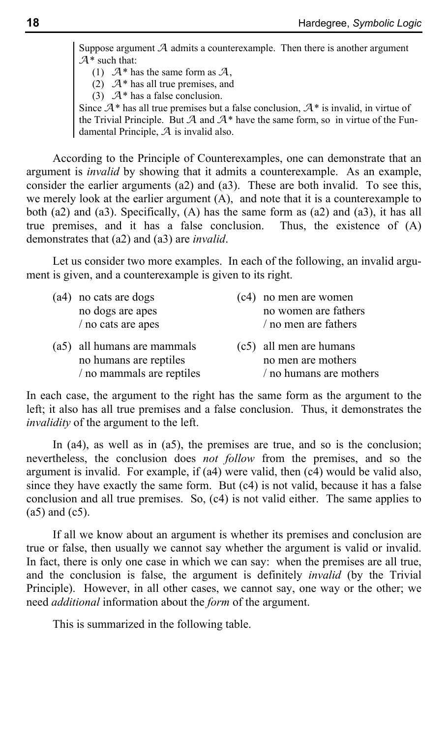Suppose argument  $A$  admits a counterexample. Then there is another argument  $A^*$  such that:

- (1)  $A^*$  has the same form as  $A$ ,
- (2)  $A^*$  has all true premises, and
- (3)  $A^*$  has a false conclusion.

Since  $\mathcal{A}^*$  has all true premises but a false conclusion,  $\mathcal{A}^*$  is invalid, in virtue of the Trivial Principle. But  $\mathcal A$  and  $\mathcal A^*$  have the same form, so in virtue of the Fundamental Principle, A is invalid also.

 According to the Principle of Counterexamples, one can demonstrate that an argument is *invalid* by showing that it admits a counterexample. As an example, consider the earlier arguments (a2) and (a3). These are both invalid. To see this, we merely look at the earlier argument (A), and note that it is a counterexample to both (a2) and (a3). Specifically, (A) has the same form as (a2) and (a3), it has all true premises, and it has a false conclusion. Thus, the existence of (A) demonstrates that (a2) and (a3) are *invalid*.

 Let us consider two more examples. In each of the following, an invalid argument is given, and a counterexample is given to its right.

| (a4) | no cats are dogs<br>no dogs are apes<br>/ no cats are apes                         | (c4) | no men are women<br>no women are fathers<br>/ no men are fathers         |
|------|------------------------------------------------------------------------------------|------|--------------------------------------------------------------------------|
|      | (a5) all humans are mammals<br>no humans are reptiles<br>/ no mammals are reptiles |      | (c5) all men are humans<br>no men are mothers<br>/ no humans are mothers |

In each case, the argument to the right has the same form as the argument to the left; it also has all true premises and a false conclusion. Thus, it demonstrates the *invalidity* of the argument to the left.

In (a4), as well as in (a5), the premises are true, and so is the conclusion; nevertheless, the conclusion does *not follow* from the premises, and so the argument is invalid. For example, if (a4) were valid, then (c4) would be valid also, since they have exactly the same form. But (c4) is not valid, because it has a false conclusion and all true premises. So, (c4) is not valid either. The same applies to (a5) and (c5).

 If all we know about an argument is whether its premises and conclusion are true or false, then usually we cannot say whether the argument is valid or invalid. In fact, there is only one case in which we can say: when the premises are all true, and the conclusion is false, the argument is definitely *invalid* (by the Trivial Principle). However, in all other cases, we cannot say, one way or the other; we need *additional* information about the *form* of the argument.

This is summarized in the following table.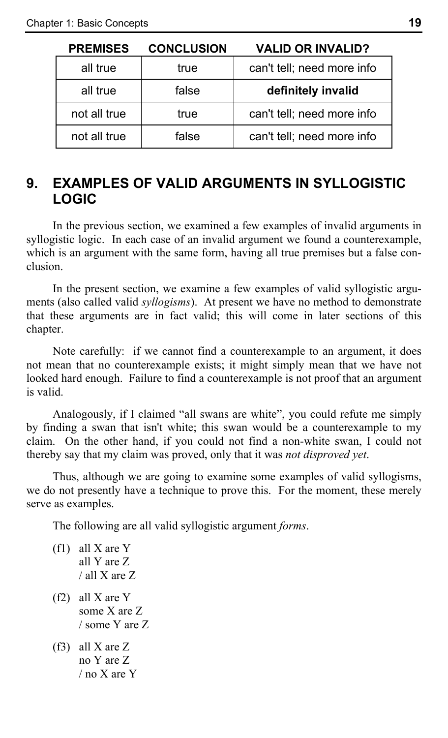| <b>PREMISES</b> | <b>CONCLUSION</b> | <b>VALID OR INVALID?</b>   |
|-----------------|-------------------|----------------------------|
| all true        | true              | can't tell; need more info |
| all true        | false             | definitely invalid         |
| not all true    | true              | can't tell; need more info |
| not all true    | false             | can't tell; need more info |

#### **9. EXAMPLES OF VALID ARGUMENTS IN SYLLOGISTIC LOGIC**

 In the previous section, we examined a few examples of invalid arguments in syllogistic logic. In each case of an invalid argument we found a counterexample, which is an argument with the same form, having all true premises but a false conclusion.

 In the present section, we examine a few examples of valid syllogistic arguments (also called valid *syllogisms*). At present we have no method to demonstrate that these arguments are in fact valid; this will come in later sections of this chapter.

 Note carefully: if we cannot find a counterexample to an argument, it does not mean that no counterexample exists; it might simply mean that we have not looked hard enough. Failure to find a counterexample is not proof that an argument is valid.

 Analogously, if I claimed "all swans are white", you could refute me simply by finding a swan that isn't white; this swan would be a counterexample to my claim. On the other hand, if you could not find a non-white swan, I could not thereby say that my claim was proved, only that it was *not disproved yet*.

 Thus, although we are going to examine some examples of valid syllogisms, we do not presently have a technique to prove this. For the moment, these merely serve as examples.

The following are all valid syllogistic argument *forms*.

- $(f1)$  all X are Y all Y are Z / all X are Z
- (f2) all X are Y some X are Z / some Y are Z
- (f3) all X are Z no Y are Z / no X are Y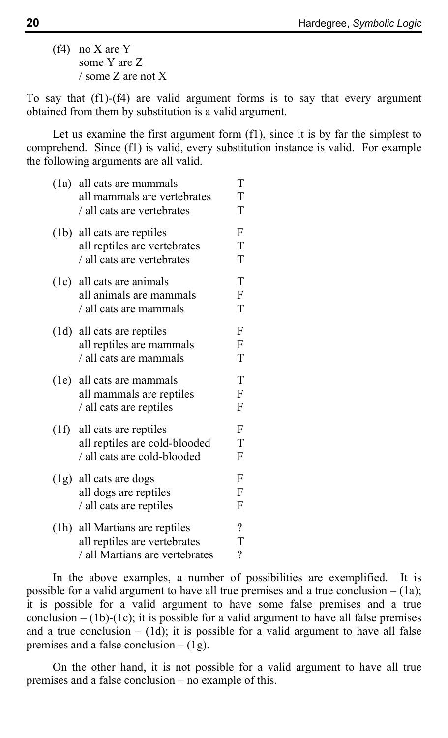(f4) no X are Y some Y are Z / some Z are not X

To say that (f1)-(f4) are valid argument forms is to say that every argument obtained from them by substitution is a valid argument.

 Let us examine the first argument form (f1), since it is by far the simplest to comprehend. Since (f1) is valid, every substitution instance is valid. For example the following arguments are all valid.

| (1a) all cats are mammals<br>all mammals are vertebrates<br>/ all cats are vertebrates           | T<br>T<br>T                           |
|--------------------------------------------------------------------------------------------------|---------------------------------------|
| (1b) all cats are reptiles<br>all reptiles are vertebrates<br>/ all cats are vertebrates         | F<br>T<br>T                           |
| (1c) all cats are animals<br>all animals are mammals<br>/ all cats are mammals                   | T<br>F<br>T                           |
| (1d) all cats are reptiles<br>all reptiles are mammals<br>/ all cats are mammals                 | F<br>$\mathbf{F}$<br>T                |
| (1e) all cats are mammals<br>all mammals are reptiles<br>/ all cats are reptiles                 | T<br>F<br>F                           |
| (1f) all cats are reptiles<br>all reptiles are cold-blooded<br>/ all cats are cold-blooded       | F<br>T<br>F                           |
| (1g) all cats are dogs<br>all dogs are reptiles<br>/ all cats are reptiles                       | F<br>F<br>F                           |
| (1h) all Martians are reptiles<br>all reptiles are vertebrates<br>/ all Martians are vertebrates | $\overline{?}$<br>Т<br>$\overline{?}$ |

 In the above examples, a number of possibilities are exemplified. It is possible for a valid argument to have all true premises and a true conclusion  $- (1a)$ ; it is possible for a valid argument to have some false premises and a true conclusion – (1b)-(1c); it is possible for a valid argument to have all false premises and a true conclusion  $- (1d)$ ; it is possible for a valid argument to have all false premises and a false conclusion  $-(1g)$ .

 On the other hand, it is not possible for a valid argument to have all true premises and a false conclusion – no example of this.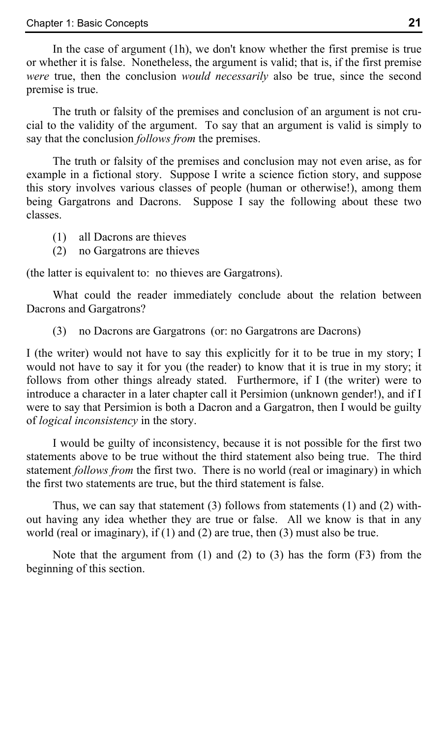In the case of argument (1h), we don't know whether the first premise is true or whether it is false. Nonetheless, the argument is valid; that is, if the first premise *were* true, then the conclusion *would necessarily* also be true, since the second premise is true.

 The truth or falsity of the premises and conclusion of an argument is not crucial to the validity of the argument. To say that an argument is valid is simply to say that the conclusion *follows from* the premises.

 The truth or falsity of the premises and conclusion may not even arise, as for example in a fictional story. Suppose I write a science fiction story, and suppose this story involves various classes of people (human or otherwise!), among them being Gargatrons and Dacrons. Suppose I say the following about these two classes.

- (1) all Dacrons are thieves
- (2) no Gargatrons are thieves

(the latter is equivalent to: no thieves are Gargatrons).

 What could the reader immediately conclude about the relation between Dacrons and Gargatrons?

(3) no Dacrons are Gargatrons (or: no Gargatrons are Dacrons)

I (the writer) would not have to say this explicitly for it to be true in my story; I would not have to say it for you (the reader) to know that it is true in my story; it follows from other things already stated. Furthermore, if I (the writer) were to introduce a character in a later chapter call it Persimion (unknown gender!), and if I were to say that Persimion is both a Dacron and a Gargatron, then I would be guilty of *logical inconsistency* in the story.

 I would be guilty of inconsistency, because it is not possible for the first two statements above to be true without the third statement also being true. The third statement *follows from* the first two. There is no world (real or imaginary) in which the first two statements are true, but the third statement is false.

 Thus, we can say that statement (3) follows from statements (1) and (2) without having any idea whether they are true or false. All we know is that in any world (real or imaginary), if (1) and (2) are true, then (3) must also be true.

 Note that the argument from (1) and (2) to (3) has the form (F3) from the beginning of this section.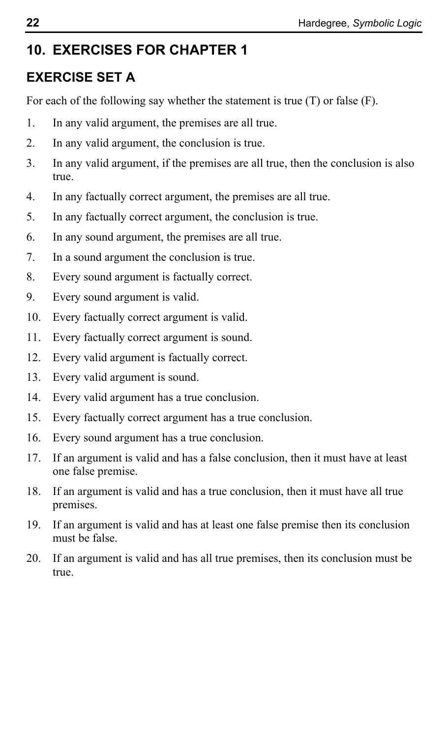# **10. EXERCISES FOR CHAPTER 1**

# **EXERCISE SET A**

For each of the following say whether the statement is true (T) or false (F).

- 1. In any valid argument, the premises are all true.
- 2. In any valid argument, the conclusion is true.
- 3. In any valid argument, if the premises are all true, then the conclusion is also true.
- 4. In any factually correct argument, the premises are all true.
- 5. In any factually correct argument, the conclusion is true.
- 6. In any sound argument, the premises are all true.
- 7. In a sound argument the conclusion is true.
- 8. Every sound argument is factually correct.
- 9. Every sound argument is valid.
- 10. Every factually correct argument is valid.
- 11. Every factually correct argument is sound.
- 12. Every valid argument is factually correct.
- 13. Every valid argument is sound.
- 14. Every valid argument has a true conclusion.
- 15. Every factually correct argument has a true conclusion.
- 16. Every sound argument has a true conclusion.
- 17. If an argument is valid and has a false conclusion, then it must have at least one false premise.
- 18. If an argument is valid and has a true conclusion, then it must have all true premises.
- 19. If an argument is valid and has at least one false premise then its conclusion must be false.
- 20. If an argument is valid and has all true premises, then its conclusion must be true.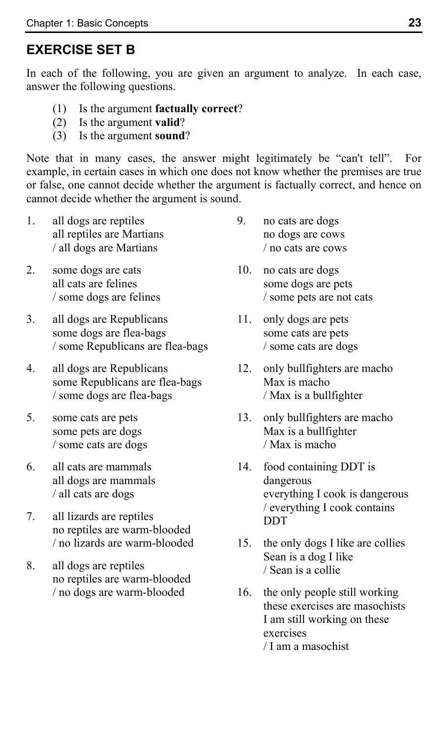### **EXERCISE SET B**

In each of the following, you are given an argument to analyze. In each case, answer the following questions.

- (1) Is the argument **factually correct**?
- (2) Is the argument **valid**?
- (3) Is the argument **sound**?

Note that in many cases, the answer might legitimately be "can't tell". For example, in certain cases in which one does not know whether the premises are true or false, one cannot decide whether the argument is factually correct, and hence on cannot decide whether the argument is sound.

- 1. all dogs are reptiles all reptiles are Martians / all dogs are Martians
- 2. some dogs are cats all cats are felines / some dogs are felines
- 3. all dogs are Republicans some dogs are flea-bags / some Republicans are flea-bags
- 4. all dogs are Republicans some Republicans are flea-bags / some dogs are flea-bags
- 5. some cats are pets some pets are dogs / some cats are dogs
- 6. all cats are mammals all dogs are mammals / all cats are dogs
- 7. all lizards are reptiles no reptiles are warm-blooded / no lizards are warm-blooded
- 8. all dogs are reptiles no reptiles are warm-blooded / no dogs are warm-blooded
- 9. no cats are dogs no dogs are cows / no cats are cows
- 10. no cats are dogs some dogs are pets / some pets are not cats
- 11. only dogs are pets some cats are pets / some cats are dogs
- 12. only bullfighters are macho Max is macho / Max is a bullfighter
- 13. only bullfighters are macho Max is a bullfighter / Max is macho
- 14. food containing DDT is dangerous everything I cook is dangerous / everything I cook contains DDT
- 15. the only dogs I like are collies Sean is a dog I like / Sean is a collie
- 16. the only people still working these exercises are masochists I am still working on these exercises / I am a masochist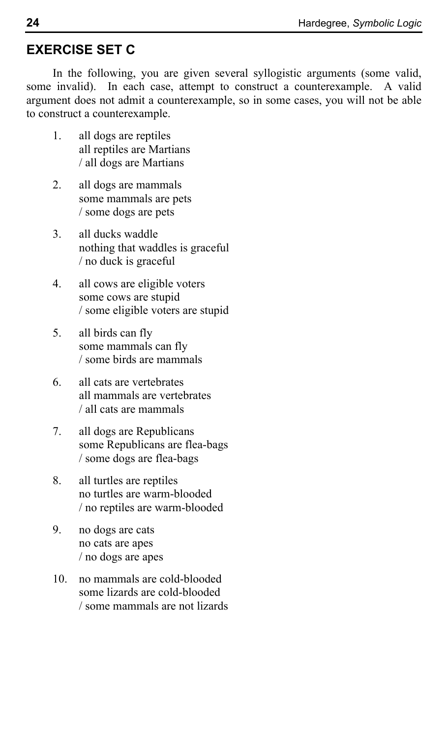#### **EXERCISE SET C**

 In the following, you are given several syllogistic arguments (some valid, some invalid). In each case, attempt to construct a counterexample. A valid argument does not admit a counterexample, so in some cases, you will not be able to construct a counterexample.

- 1. all dogs are reptiles all reptiles are Martians / all dogs are Martians
- 2. all dogs are mammals some mammals are pets / some dogs are pets
- 3. all ducks waddle nothing that waddles is graceful / no duck is graceful
- 4. all cows are eligible voters some cows are stupid / some eligible voters are stupid
- 5. all birds can fly some mammals can fly / some birds are mammals
- 6. all cats are vertebrates all mammals are vertebrates / all cats are mammals
- 7. all dogs are Republicans some Republicans are flea-bags / some dogs are flea-bags
- 8. all turtles are reptiles no turtles are warm-blooded / no reptiles are warm-blooded
- 9. no dogs are cats no cats are apes / no dogs are apes
- 10. no mammals are cold-blooded some lizards are cold-blooded / some mammals are not lizards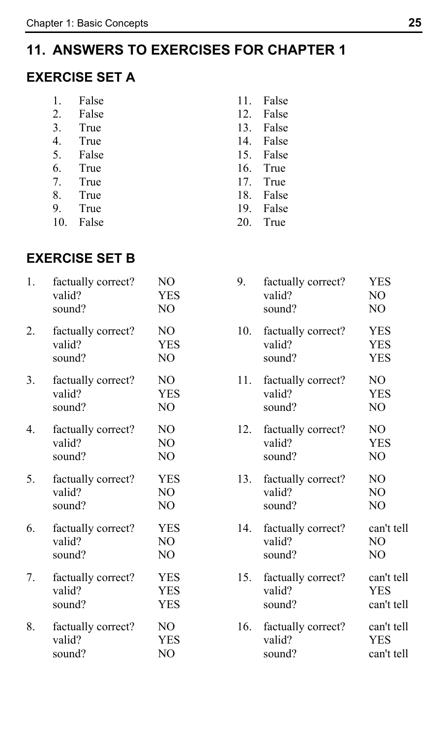# **11. ANSWERS TO EXERCISES FOR CHAPTER 1**

# **EXERCISE SET A**

- 
- 2. False 12. False
- 3. True 13. False
- 
- 
- 
- 7. True 17. True
- 
- 
- 

# **EXERCISE SET B**

| 1. | factually correct?<br>valid?<br>sound? | NO<br><b>YES</b><br>NO             |
|----|----------------------------------------|------------------------------------|
| 2. | factually correct?<br>valid?<br>sound? | NO<br><b>YES</b><br>N <sub>O</sub> |
| 3. | factually correct?<br>valid?<br>sound? | NO<br><b>YES</b><br>N <sub>O</sub> |
| 4. | factually correct?<br>valid?<br>sound? | N <sub>O</sub><br>NO<br>NO         |
| 5. | factually correct?<br>valid?<br>sound? | <b>YES</b><br>NO<br>NO             |
| 6. | factually correct?<br>valid?<br>sound? | <b>YES</b><br>NO<br>NO             |
| 7. | factually correct?<br>valid?<br>sound? | <b>YES</b><br><b>YES</b><br>YES    |
| 8. | factually correct?<br>valid?<br>sound? | NO<br><b>YES</b><br>NO             |

| 9.  | factually correct?<br>valid?<br>sound? | <b>YES</b><br>NO<br>NO                         |
|-----|----------------------------------------|------------------------------------------------|
| 10. | factually correct?<br>valid?<br>sound? | <b>YES</b><br><b>YES</b><br><b>YES</b>         |
| 11. | factually correct?<br>valid?<br>sound? | N <sub>O</sub><br><b>YES</b><br>NO             |
| 12. | factually correct?<br>valid?<br>sound? | NO <sub></sub><br><b>YES</b><br>N <sub>O</sub> |
| 13. | factually correct?<br>valid?<br>sound? | NO<br>NO<br>NO                                 |
| 14. | factually correct?<br>valid?<br>sound? | can't tell<br>NO<br>NO                         |
| 15. | factually correct?<br>valid?<br>sound? | can't tell<br><b>YES</b><br>can't tell         |
| 16. | factually correct?<br>valid?<br>sound? | can't tell<br><b>YES</b><br>can't tell         |

- 
- 4. True 14. False
- 5. False 15. False
- 6. True 16. True
	-
- 8. True 18. False
- 9. True 19. False
- 10. False 20. True